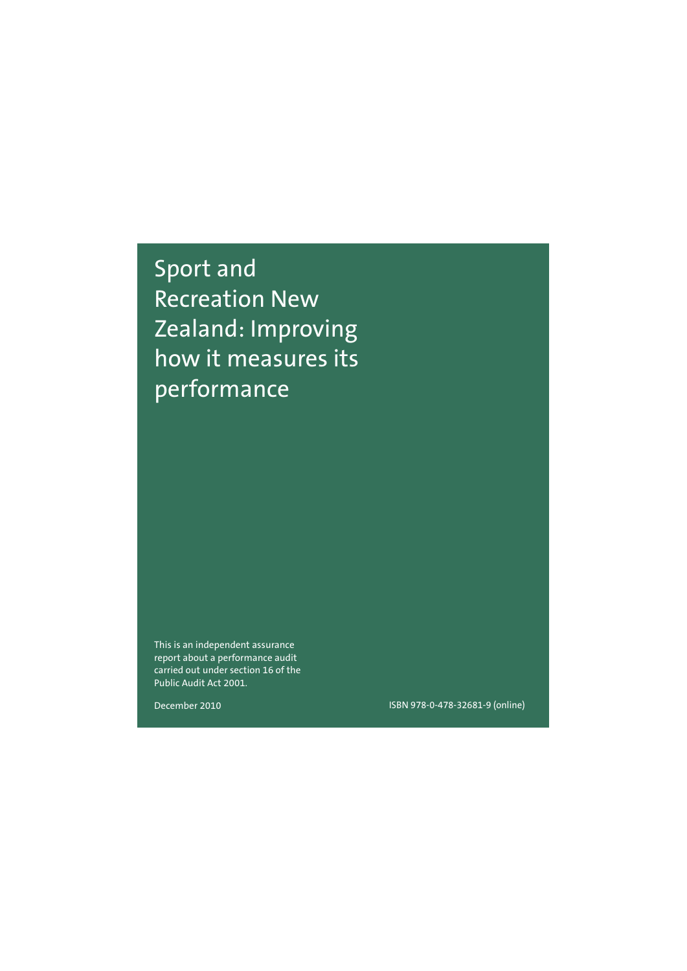Sport and Recreation New Zealand: Improving how it measures its performance

This is an independent assurance report about a performance audit carried out under section 16 of the Public Audit Act 2001.

December 2010

ISBN 978-0-478-32681-9 (online)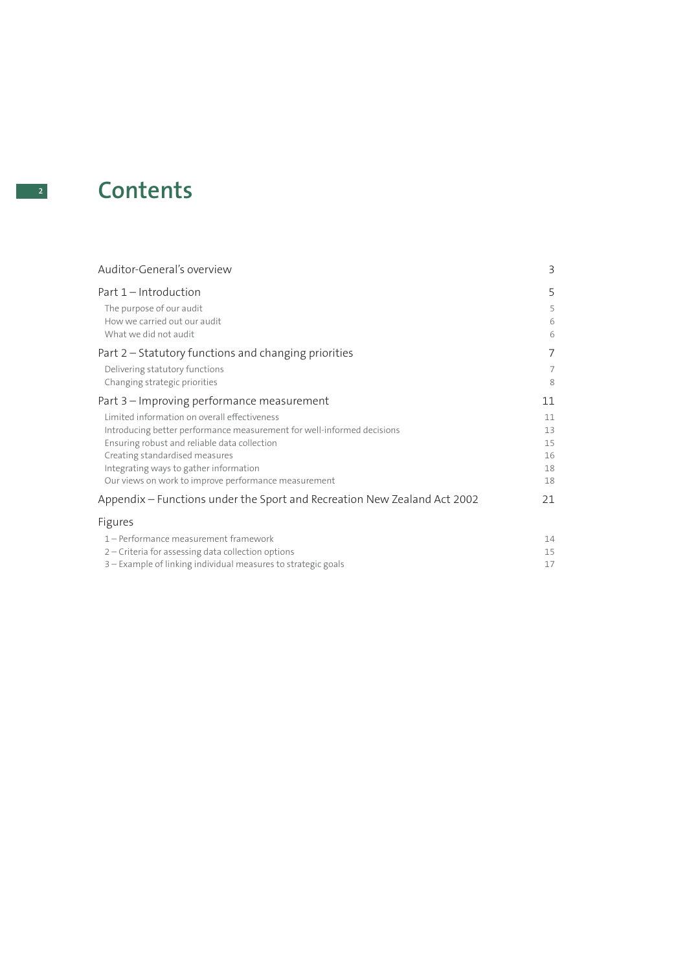# **<sup>2</sup> Contents**

| Auditor-General's overview                                               | 3  |
|--------------------------------------------------------------------------|----|
| Part 1 – Introduction                                                    | 5  |
| The purpose of our audit                                                 | 5  |
| How we carried out our audit                                             | 6  |
| What we did not audit                                                    | 6  |
| Part 2 – Statutory functions and changing priorities                     | 7  |
| Delivering statutory functions                                           | 7  |
| Changing strategic priorities                                            | 8  |
| Part 3 – Improving performance measurement                               | 11 |
| Limited information on overall effectiveness                             | 11 |
| Introducing better performance measurement for well-informed decisions   | 13 |
| Ensuring robust and reliable data collection                             | 15 |
| Creating standardised measures                                           | 16 |
| Integrating ways to gather information                                   | 18 |
| Our views on work to improve performance measurement                     | 18 |
| Appendix – Functions under the Sport and Recreation New Zealand Act 2002 | 21 |
| Figures                                                                  |    |
| 1 - Performance measurement framework                                    | 14 |
| 2 – Criteria for assessing data collection options                       | 15 |
| 3 – Example of linking individual measures to strategic goals            | 17 |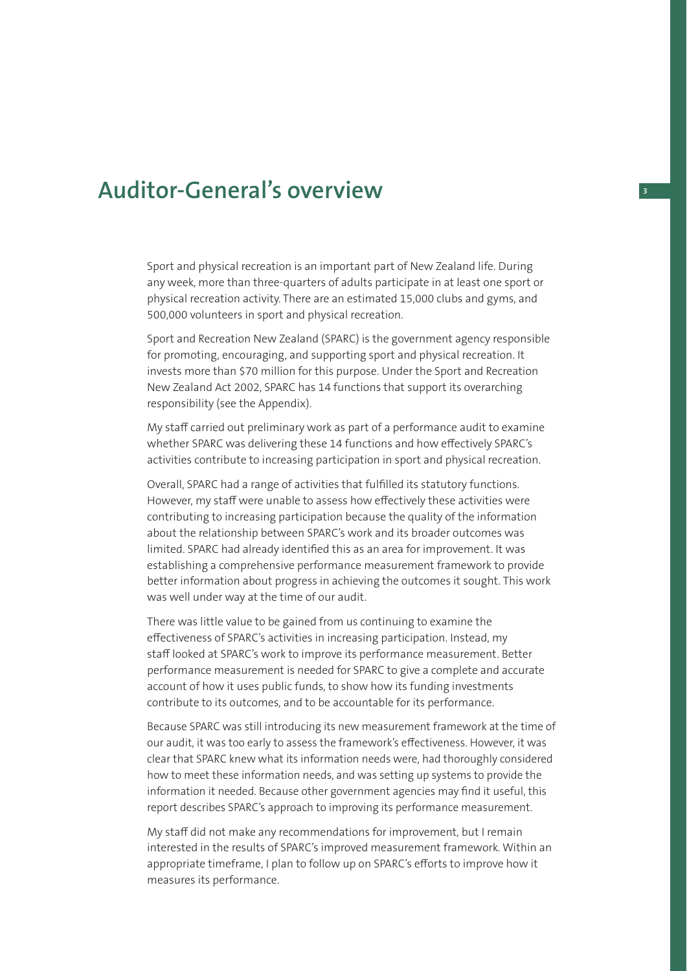## **Auditor-General's overview <sup>3</sup>**

Sport and physical recreation is an important part of New Zealand life. During any week, more than three-quarters of adults participate in at least one sport or physical recreation activity. There are an estimated 15,000 clubs and gyms, and 500,000 volunteers in sport and physical recreation.

Sport and Recreation New Zealand (SPARC) is the government agency responsible for promoting, encouraging, and supporting sport and physical recreation. It invests more than \$70 million for this purpose. Under the Sport and Recreation New Zealand Act 2002, SPARC has 14 functions that support its overarching responsibility (see the Appendix).

My staff carried out preliminary work as part of a performance audit to examine whether SPARC was delivering these 14 functions and how effectively SPARC's activities contribute to increasing participation in sport and physical recreation.

Overall, SPARC had a range of activities that fulfilled its statutory functions. However, my staff were unable to assess how effectively these activities were contributing to increasing participation because the quality of the information about the relationship between SPARC's work and its broader outcomes was limited. SPARC had already identified this as an area for improvement. It was establishing a comprehensive performance measurement framework to provide better information about progress in achieving the outcomes it sought. This work was well under way at the time of our audit.

There was little value to be gained from us continuing to examine the effectiveness of SPARC's activities in increasing participation. Instead, my staff looked at SPARC's work to improve its performance measurement. Better performance measurement is needed for SPARC to give a complete and accurate account of how it uses public funds, to show how its funding investments contribute to its outcomes, and to be accountable for its performance.

Because SPARC was still introducing its new measurement framework at the time of our audit, it was too early to assess the framework's effectiveness. However, it was clear that SPARC knew what its information needs were, had thoroughly considered how to meet these information needs, and was setting up systems to provide the information it needed. Because other government agencies may find it useful, this report describes SPARC's approach to improving its performance measurement.

My staff did not make any recommendations for improvement, but I remain interested in the results of SPARC's improved measurement framework. Within an appropriate timeframe, I plan to follow up on SPARC's efforts to improve how it measures its performance.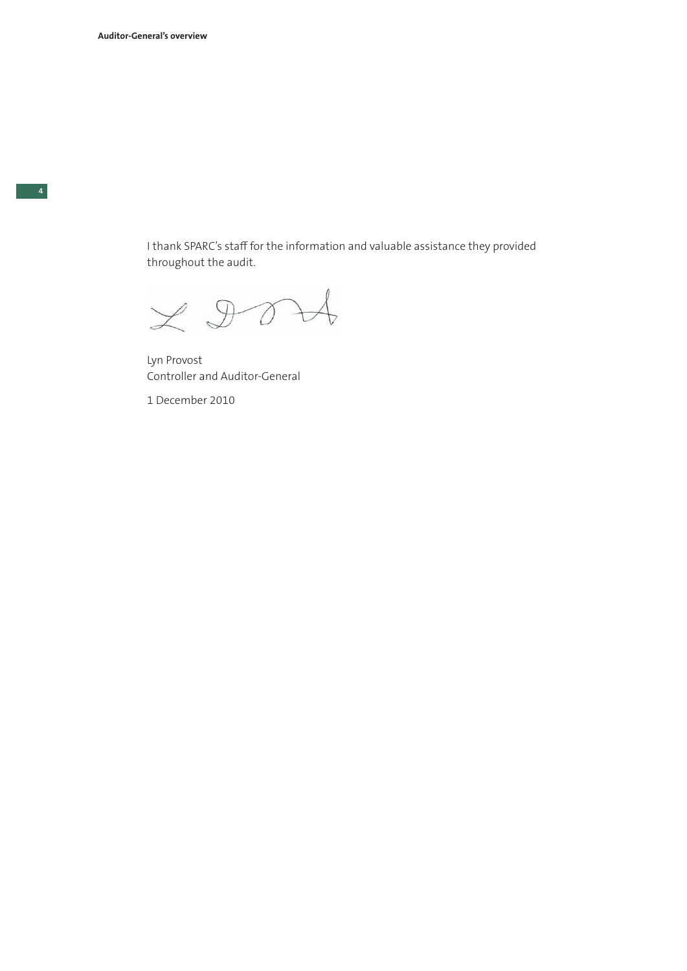I thank SPARC's staff for the information and valuable assistance they provided throughout the audit.

 $ZD0$ 

Lyn Provost Controller and Auditor-General

1 December 2010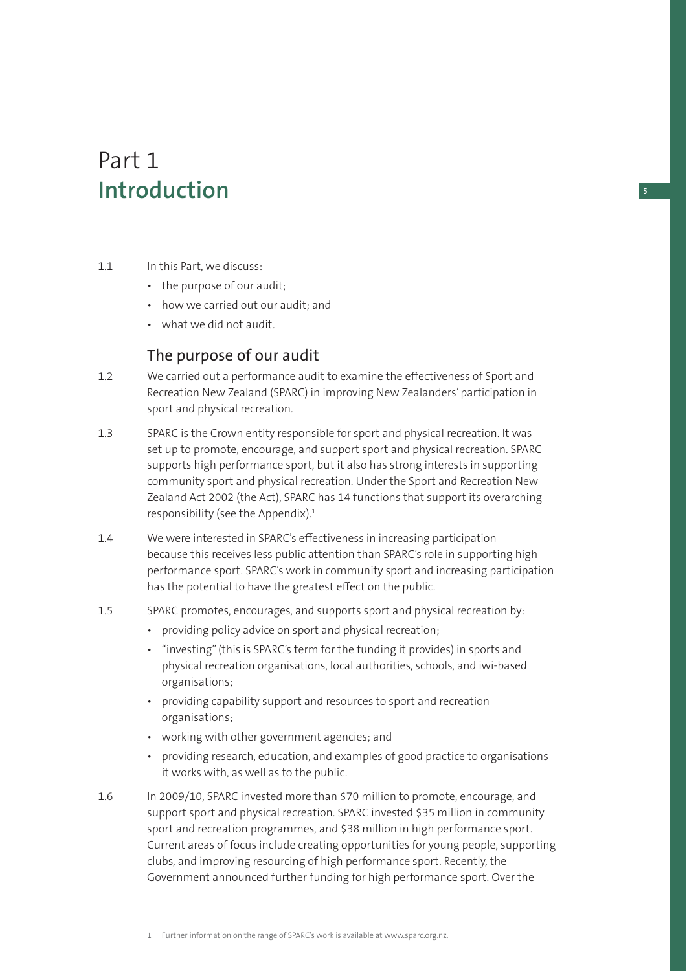## Part 1 **Introduction**

- 1.1 In this Part, we discuss:
	- the purpose of our audit;
	- how we carried out our audit; and
	- what we did not audit.

## The purpose of our audit

- 1.2 We carried out a performance audit to examine the effectiveness of Sport and Recreation New Zealand (SPARC) in improving New Zealanders' participation in sport and physical recreation.
- 1.3 SPARC is the Crown entity responsible for sport and physical recreation. It was set up to promote, encourage, and support sport and physical recreation. SPARC supports high performance sport, but it also has strong interests in supporting community sport and physical recreation. Under the Sport and Recreation New Zealand Act 2002 (the Act), SPARC has 14 functions that support its overarching responsibility (see the Appendix).<sup>1</sup>
- 1.4 We were interested in SPARC's effectiveness in increasing participation because this receives less public attention than SPARC's role in supporting high performance sport. SPARC's work in community sport and increasing participation has the potential to have the greatest effect on the public.
- 1.5 SPARC promotes, encourages, and supports sport and physical recreation by:
	- providing policy advice on sport and physical recreation;
	- "investing" (this is SPARC's term for the funding it provides) in sports and physical recreation organisations, local authorities, schools, and iwi-based organisations;
	- providing capability support and resources to sport and recreation organisations;
	- working with other government agencies; and
	- providing research, education, and examples of good practice to organisations it works with, as well as to the public.
- 1.6 In 2009/10, SPARC invested more than \$70 million to promote, encourage, and support sport and physical recreation. SPARC invested \$35 million in community sport and recreation programmes, and \$38 million in high performance sport. Current areas of focus include creating opportunities for young people, supporting clubs, and improving resourcing of high performance sport. Recently, the Government announced further funding for high performance sport. Over the

**5**

<sup>1</sup> Further information on the range of SPARC's work is available at www.sparc.org.nz.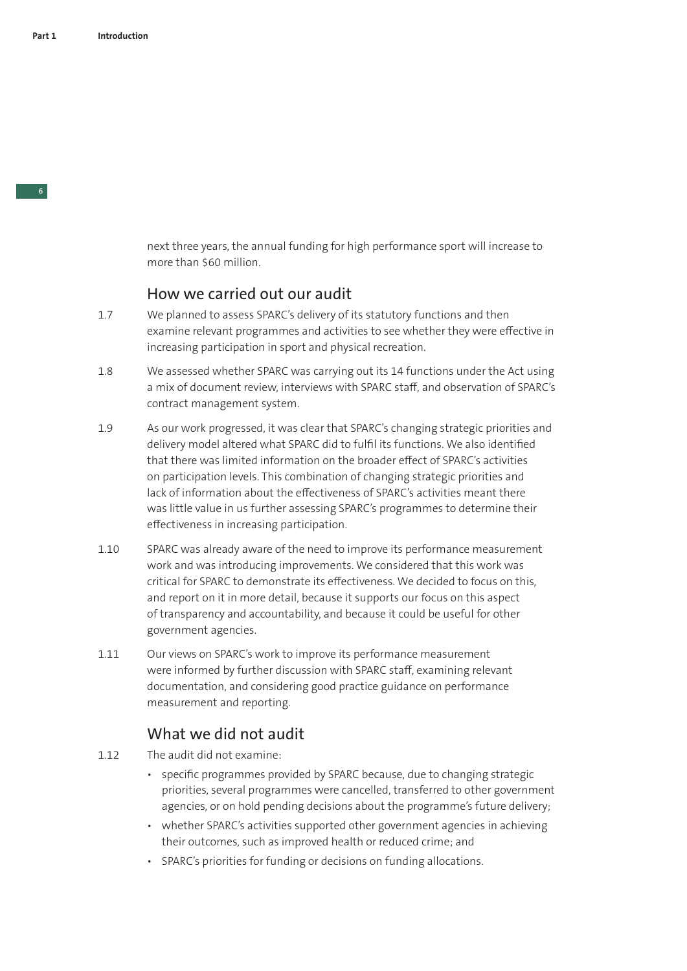next three years, the annual funding for high performance sport will increase to more than \$60 million.

### How we carried out our audit

- 1.7 We planned to assess SPARC's delivery of its statutory functions and then examine relevant programmes and activities to see whether they were effective in increasing participation in sport and physical recreation.
- 1.8 We assessed whether SPARC was carrying out its 14 functions under the Act using a mix of document review, interviews with SPARC staff, and observation of SPARC's contract management system.
- 1.9 As our work progressed, it was clear that SPARC's changing strategic priorities and delivery model altered what SPARC did to fulfil its functions. We also identified that there was limited information on the broader effect of SPARC's activities on participation levels. This combination of changing strategic priorities and lack of information about the effectiveness of SPARC's activities meant there was little value in us further assessing SPARC's programmes to determine their effectiveness in increasing participation.
- 1.10 SPARC was already aware of the need to improve its performance measurement work and was introducing improvements. We considered that this work was critical for SPARC to demonstrate its effectiveness. We decided to focus on this, and report on it in more detail, because it supports our focus on this aspect of transparency and accountability, and because it could be useful for other government agencies.
- 1.11 Our views on SPARC's work to improve its performance measurement were informed by further discussion with SPARC staff, examining relevant documentation, and considering good practice guidance on performance measurement and reporting.

## What we did not audit

- 1.12 The audit did not examine:
	- specific programmes provided by SPARC because, due to changing strategic priorities, several programmes were cancelled, transferred to other government agencies, or on hold pending decisions about the programme's future delivery;
	- whether SPARC's activities supported other government agencies in achieving their outcomes, such as improved health or reduced crime; and
	- SPARC's priorities for funding or decisions on funding allocations.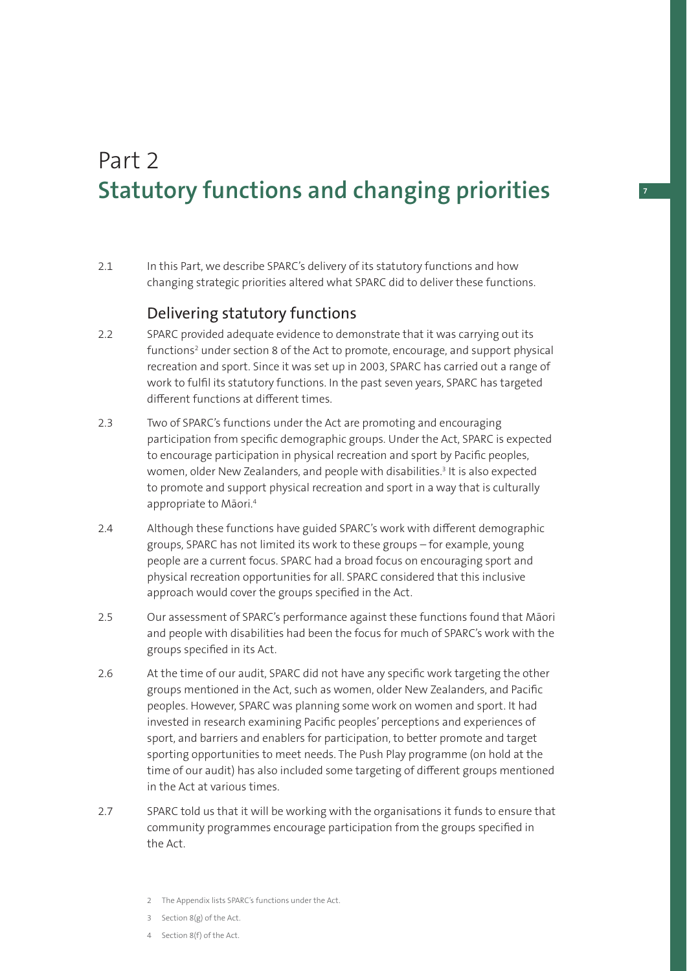## Part 2 **Statutory functions and changing priorities**

2.1 In this Part, we describe SPARC's delivery of its statutory functions and how changing strategic priorities altered what SPARC did to deliver these functions.

## Delivering statutory functions

- 2.2 SPARC provided adequate evidence to demonstrate that it was carrying out its functions<sup>2</sup> under section 8 of the Act to promote, encourage, and support physical recreation and sport. Since it was set up in 2003, SPARC has carried out a range of work to fulfil its statutory functions. In the past seven years, SPARC has targeted different functions at different times.
- 2.3 Two of SPARC's functions under the Act are promoting and encouraging participation from specific demographic groups. Under the Act, SPARC is expected to encourage participation in physical recreation and sport by Pacific peoples, women, older New Zealanders, and people with disabilities.<sup>3</sup> It is also expected to promote and support physical recreation and sport in a way that is culturally appropriate to Māori.4
- 2.4 Although these functions have guided SPARC's work with different demographic groups, SPARC has not limited its work to these groups – for example, young people are a current focus. SPARC had a broad focus on encouraging sport and physical recreation opportunities for all. SPARC considered that this inclusive approach would cover the groups specified in the Act.
- 2.5 Our assessment of SPARC's performance against these functions found that Māori and people with disabilities had been the focus for much of SPARC's work with the groups specified in its Act.
- 2.6 At the time of our audit, SPARC did not have any specific work targeting the other groups mentioned in the Act, such as women, older New Zealanders, and Pacific peoples. However, SPARC was planning some work on women and sport. It had invested in research examining Pacific peoples' perceptions and experiences of sport, and barriers and enablers for participation, to better promote and target sporting opportunities to meet needs. The Push Play programme (on hold at the time of our audit) has also included some targeting of different groups mentioned in the Act at various times.
- 2.7 SPARC told us that it will be working with the organisations it funds to ensure that community programmes encourage participation from the groups specified in the Act.
	- 2 The Appendix lists SPARC's functions under the Act.
	- 3 Section 8(g) of the Act.
	- 4 Section 8(f) of the Act.

#### **7**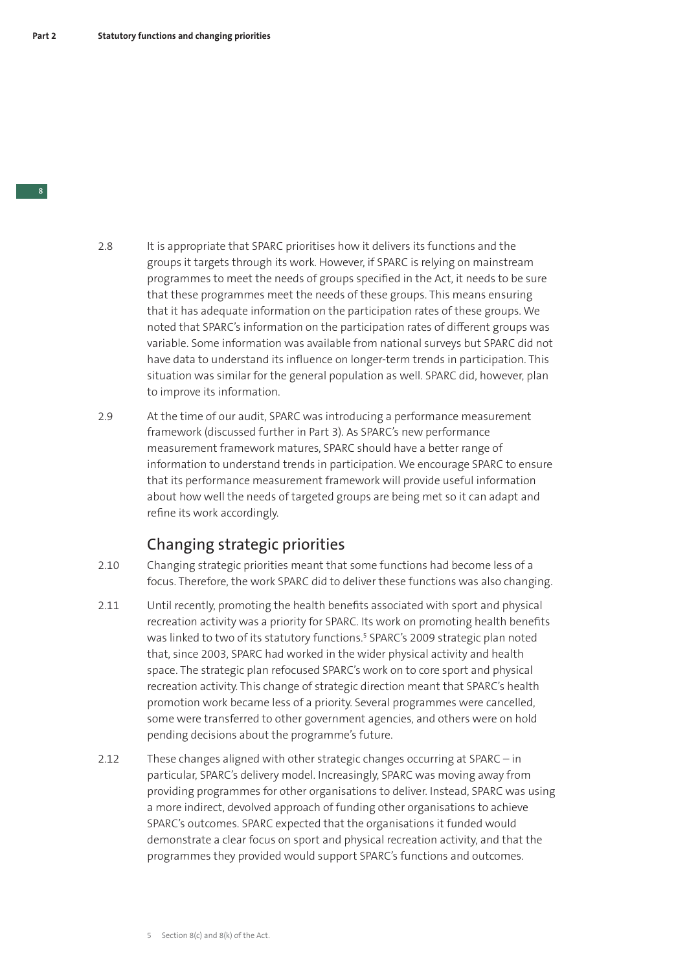- 2.8 It is appropriate that SPARC prioritises how it delivers its functions and the groups it targets through its work. However, if SPARC is relying on mainstream programmes to meet the needs of groups specified in the Act, it needs to be sure that these programmes meet the needs of these groups. This means ensuring that it has adequate information on the participation rates of these groups. We noted that SPARC's information on the participation rates of different groups was variable. Some information was available from national surveys but SPARC did not have data to understand its influence on longer-term trends in participation. This situation was similar for the general population as well. SPARC did, however, plan to improve its information.
- 2.9 At the time of our audit, SPARC was introducing a performance measurement framework (discussed further in Part 3). As SPARC's new performance measurement framework matures, SPARC should have a better range of information to understand trends in participation. We encourage SPARC to ensure that its performance measurement framework will provide useful information about how well the needs of targeted groups are being met so it can adapt and refine its work accordingly.

## Changing strategic priorities

- 2.10 Changing strategic priorities meant that some functions had become less of a focus. Therefore, the work SPARC did to deliver these functions was also changing.
- 2.11 Until recently, promoting the health benefits associated with sport and physical recreation activity was a priority for SPARC. Its work on promoting health benefits was linked to two of its statutory functions.<sup>5</sup> SPARC's 2009 strategic plan noted that, since 2003, SPARC had worked in the wider physical activity and health space. The strategic plan refocused SPARC's work on to core sport and physical recreation activity. This change of strategic direction meant that SPARC's health promotion work became less of a priority. Several programmes were cancelled, some were transferred to other government agencies, and others were on hold pending decisions about the programme's future.
- 2.12 These changes aligned with other strategic changes occurring at SPARC in particular, SPARC's delivery model. Increasingly, SPARC was moving away from providing programmes for other organisations to deliver. Instead, SPARC was using a more indirect, devolved approach of funding other organisations to achieve SPARC's outcomes. SPARC expected that the organisations it funded would demonstrate a clear focus on sport and physical recreation activity, and that the programmes they provided would support SPARC's functions and outcomes.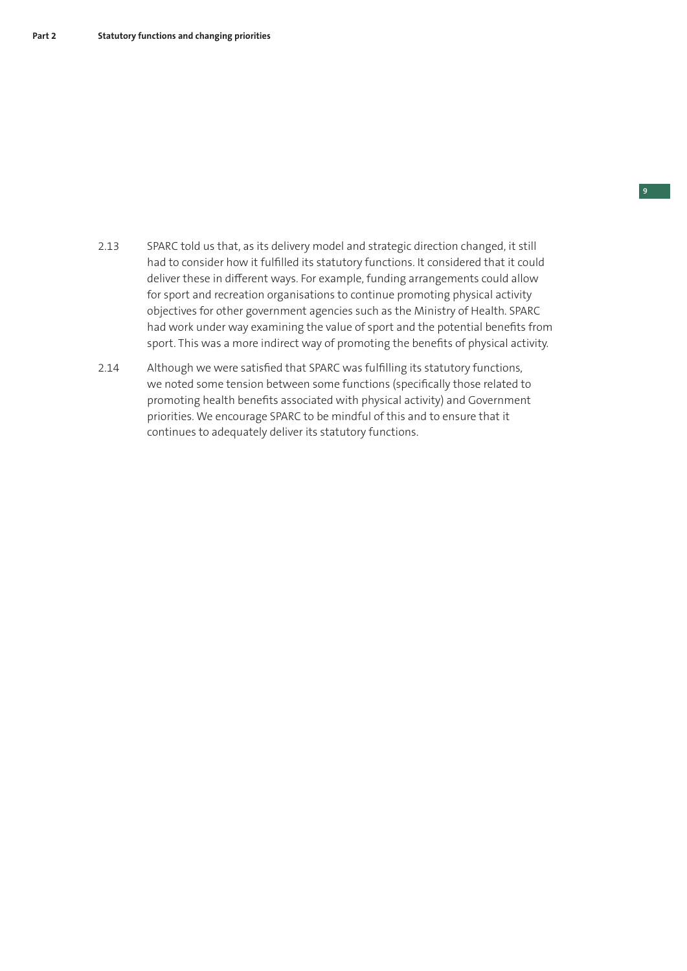- 2.13 SPARC told us that, as its delivery model and strategic direction changed, it still had to consider how it fulfilled its statutory functions. It considered that it could deliver these in different ways. For example, funding arrangements could allow for sport and recreation organisations to continue promoting physical activity objectives for other government agencies such as the Ministry of Health. SPARC had work under way examining the value of sport and the potential benefits from sport. This was a more indirect way of promoting the benefits of physical activity.
- 2.14 Although we were satisfied that SPARC was fulfilling its statutory functions, we noted some tension between some functions (specifically those related to promoting health benefits associated with physical activity) and Government priorities. We encourage SPARC to be mindful of this and to ensure that it continues to adequately deliver its statutory functions.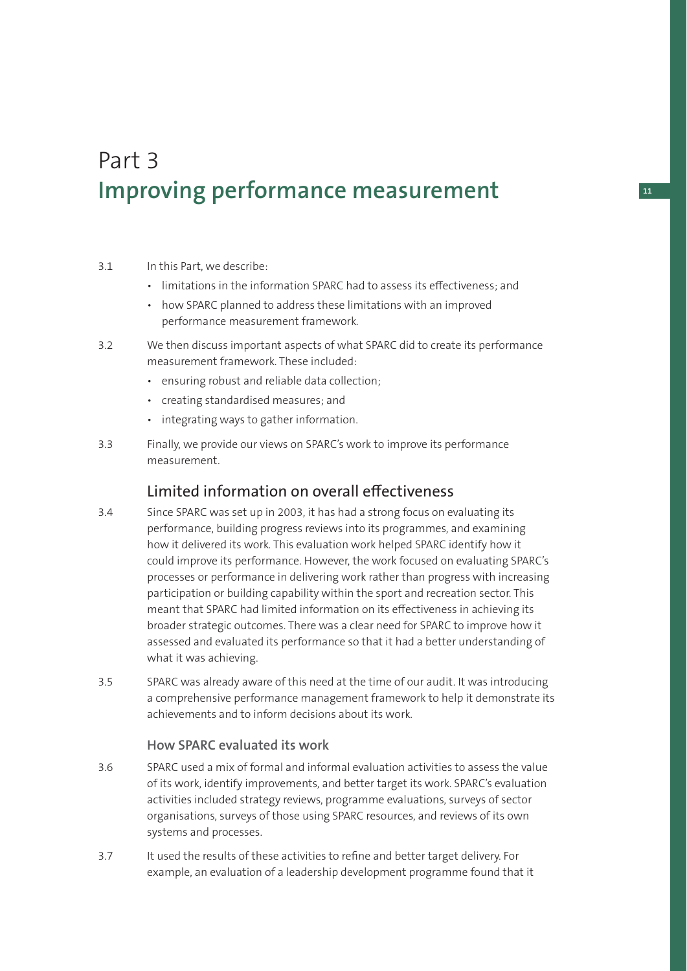## Part 3 **Improving performance measurement**

#### 3.1 In this Part, we describe:

- limitations in the information SPARC had to assess its effectiveness; and
- how SPARC planned to address these limitations with an improved performance measurement framework.
- 3.2 We then discuss important aspects of what SPARC did to create its performance measurement framework. These included:
	- ensuring robust and reliable data collection;
	- creating standardised measures; and
	- integrating ways to gather information.
- 3.3 Finally, we provide our views on SPARC's work to improve its performance measurement.

## Limited information on overall effectiveness

- 3.4 Since SPARC was set up in 2003, it has had a strong focus on evaluating its performance, building progress reviews into its programmes, and examining how it delivered its work. This evaluation work helped SPARC identify how it could improve its performance. However, the work focused on evaluating SPARC's processes or performance in delivering work rather than progress with increasing participation or building capability within the sport and recreation sector. This meant that SPARC had limited information on its effectiveness in achieving its broader strategic outcomes. There was a clear need for SPARC to improve how it assessed and evaluated its performance so that it had a better understanding of what it was achieving.
- 3.5 SPARC was already aware of this need at the time of our audit. It was introducing a comprehensive performance management framework to help it demonstrate its achievements and to inform decisions about its work.

### **How SPARC evaluated its work**

- 3.6 SPARC used a mix of formal and informal evaluation activities to assess the value of its work, identify improvements, and better target its work. SPARC's evaluation activities included strategy reviews, programme evaluations, surveys of sector organisations, surveys of those using SPARC resources, and reviews of its own systems and processes.
- 3.7 It used the results of these activities to refine and better target delivery. For example, an evaluation of a leadership development programme found that it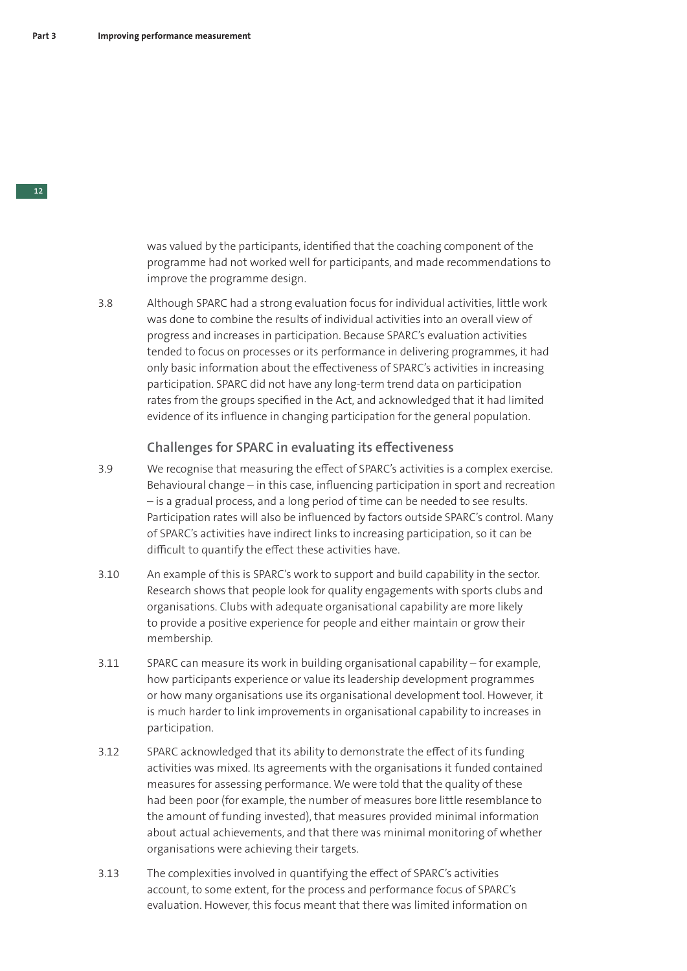was valued by the participants, identified that the coaching component of the programme had not worked well for participants, and made recommendations to improve the programme design.

3.8 Although SPARC had a strong evaluation focus for individual activities, little work was done to combine the results of individual activities into an overall view of progress and increases in participation. Because SPARC's evaluation activities tended to focus on processes or its performance in delivering programmes, it had only basic information about the effectiveness of SPARC's activities in increasing participation. SPARC did not have any long-term trend data on participation rates from the groups specified in the Act, and acknowledged that it had limited evidence of its influence in changing participation for the general population.

### **Challenges for SPARC in evaluating its effectiveness**

- 3.9 We recognise that measuring the effect of SPARC's activities is a complex exercise. Behavioural change – in this case, influencing participation in sport and recreation – is a gradual process, and a long period of time can be needed to see results. Participation rates will also be influenced by factors outside SPARC's control. Many of SPARC's activities have indirect links to increasing participation, so it can be difficult to quantify the effect these activities have.
- 3.10 An example of this is SPARC's work to support and build capability in the sector. Research shows that people look for quality engagements with sports clubs and organisations. Clubs with adequate organisational capability are more likely to provide a positive experience for people and either maintain or grow their membership.
- 3.11 SPARC can measure its work in building organisational capability for example, how participants experience or value its leadership development programmes or how many organisations use its organisational development tool. However, it is much harder to link improvements in organisational capability to increases in participation.
- 3.12 SPARC acknowledged that its ability to demonstrate the effect of its funding activities was mixed. Its agreements with the organisations it funded contained measures for assessing performance. We were told that the quality of these had been poor (for example, the number of measures bore little resemblance to the amount of funding invested), that measures provided minimal information about actual achievements, and that there was minimal monitoring of whether organisations were achieving their targets.
- 3.13 The complexities involved in quantifying the effect of SPARC's activities account, to some extent, for the process and performance focus of SPARC's evaluation. However, this focus meant that there was limited information on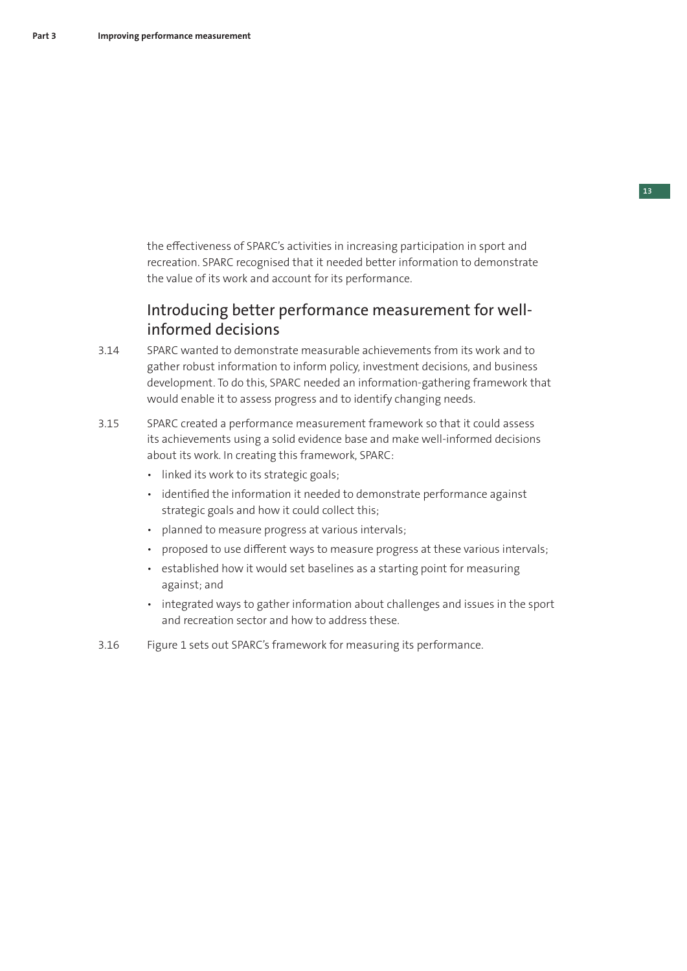the effectiveness of SPARC's activities in increasing participation in sport and recreation. SPARC recognised that it needed better information to demonstrate the value of its work and account for its performance.

## Introducing better performance measurement for wellinformed decisions

- 3.14 SPARC wanted to demonstrate measurable achievements from its work and to gather robust information to inform policy, investment decisions, and business development. To do this, SPARC needed an information-gathering framework that would enable it to assess progress and to identify changing needs.
- 3.15 SPARC created a performance measurement framework so that it could assess its achievements using a solid evidence base and make well-informed decisions about its work. In creating this framework, SPARC:
	- linked its work to its strategic goals;
	- identified the information it needed to demonstrate performance against strategic goals and how it could collect this;
	- planned to measure progress at various intervals;
	- proposed to use different ways to measure progress at these various intervals;
	- established how it would set baselines as a starting point for measuring against; and
	- integrated ways to gather information about challenges and issues in the sport and recreation sector and how to address these.
- 3.16 Figure 1 sets out SPARC's framework for measuring its performance.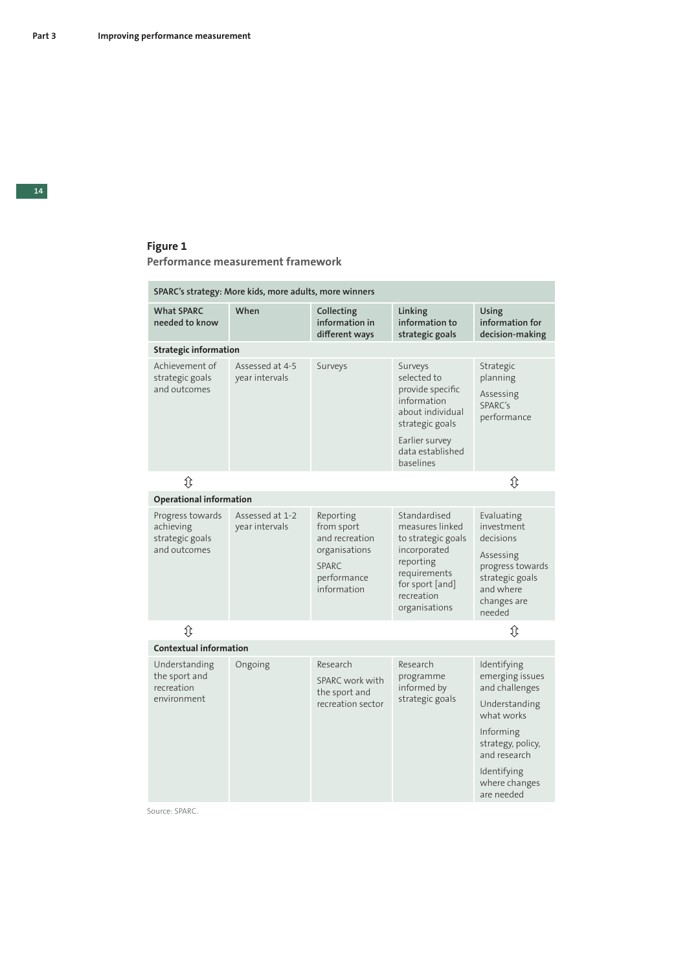#### **Figure 1 Performance measurement framework**

| SPARC's strategy: More kids, more adults, more winners           |                                   |                                                                                                          |                                                                                                                                                      |                                                                                                                                                                                 |  |  |  |
|------------------------------------------------------------------|-----------------------------------|----------------------------------------------------------------------------------------------------------|------------------------------------------------------------------------------------------------------------------------------------------------------|---------------------------------------------------------------------------------------------------------------------------------------------------------------------------------|--|--|--|
| <b>What SPARC</b><br>needed to know                              | When                              | Collecting<br>information in<br>different ways                                                           | Linking<br>information to<br>strategic goals                                                                                                         | Using<br>information for<br>decision-making                                                                                                                                     |  |  |  |
| <b>Strategic information</b>                                     |                                   |                                                                                                          |                                                                                                                                                      |                                                                                                                                                                                 |  |  |  |
| Achievement of<br>strategic goals<br>and outcomes                | Assessed at 4-5<br>year intervals | Surveys                                                                                                  | Surveys<br>selected to<br>provide specific<br>information<br>about individual<br>strategic goals                                                     | Strategic<br>planning<br>Assessing<br>SPARC's<br>performance                                                                                                                    |  |  |  |
|                                                                  |                                   |                                                                                                          | Earlier survey<br>data established<br>baselines                                                                                                      |                                                                                                                                                                                 |  |  |  |
| ⇕                                                                |                                   |                                                                                                          |                                                                                                                                                      | ⇕                                                                                                                                                                               |  |  |  |
| <b>Operational information</b>                                   |                                   |                                                                                                          |                                                                                                                                                      |                                                                                                                                                                                 |  |  |  |
| Progress towards<br>achieving<br>strategic goals<br>and outcomes | Assessed at 1-2<br>year intervals | Reporting<br>from sport<br>and recreation<br>organisations<br><b>SPARC</b><br>performance<br>information | Standardised<br>measures linked<br>to strategic goals<br>incorporated<br>reporting<br>requirements<br>for sport [and]<br>recreation<br>organisations | Evaluating<br>investment<br>decisions<br>Assessing<br>progress towards<br>strategic goals<br>and where<br>changes are<br>needed                                                 |  |  |  |
| ⇕                                                                |                                   |                                                                                                          |                                                                                                                                                      | ⇕                                                                                                                                                                               |  |  |  |
| <b>Contextual information</b>                                    |                                   |                                                                                                          |                                                                                                                                                      |                                                                                                                                                                                 |  |  |  |
| Understanding<br>the sport and<br>recreation<br>environment      | Ongoing                           | Research<br>SPARC work with<br>the sport and<br>recreation sector                                        | Research<br>programme<br>informed by<br>strategic goals                                                                                              | Identifying<br>emerging issues<br>and challenges<br>Understanding<br>what works<br>Informing<br>strategy, policy,<br>and research<br>Identifying<br>where changes<br>are needed |  |  |  |

Source: SPARC.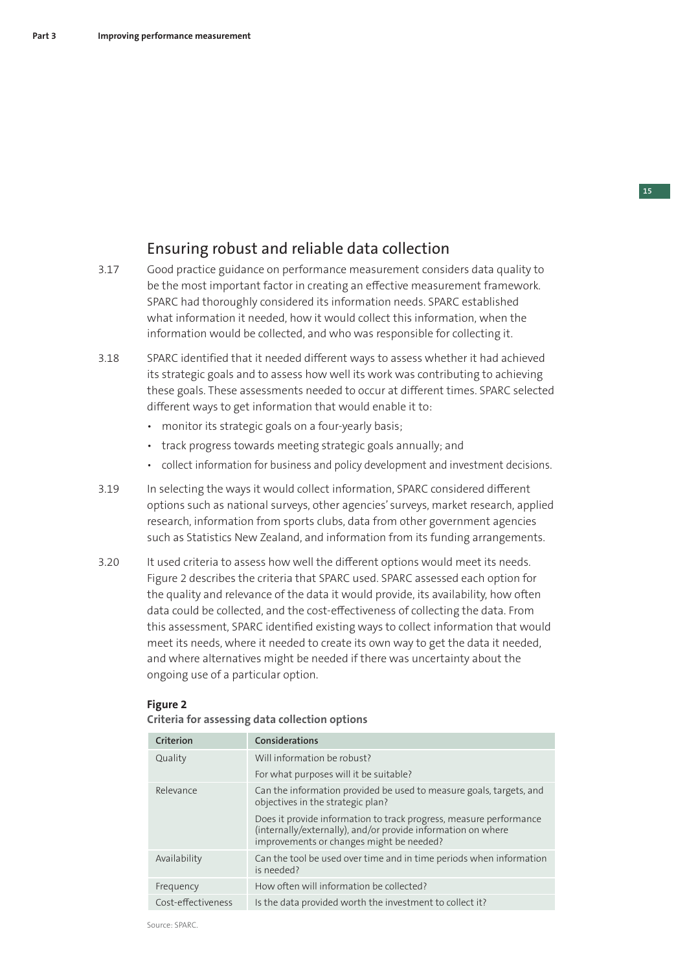## Ensuring robust and reliable data collection

- 3.17 Good practice guidance on performance measurement considers data quality to be the most important factor in creating an effective measurement framework. SPARC had thoroughly considered its information needs. SPARC established what information it needed, how it would collect this information, when the information would be collected, and who was responsible for collecting it.
- 3.18 SPARC identified that it needed different ways to assess whether it had achieved its strategic goals and to assess how well its work was contributing to achieving these goals. These assessments needed to occur at different times. SPARC selected different ways to get information that would enable it to:
	- monitor its strategic goals on a four-yearly basis;
	- track progress towards meeting strategic goals annually; and
	- collect information for business and policy development and investment decisions.
- 3.19 In selecting the ways it would collect information, SPARC considered different options such as national surveys, other agencies' surveys, market research, applied research, information from sports clubs, data from other government agencies such as Statistics New Zealand, and information from its funding arrangements.
- 3.20 It used criteria to assess how well the different options would meet its needs. Figure 2 describes the criteria that SPARC used. SPARC assessed each option for the quality and relevance of the data it would provide, its availability, how often data could be collected, and the cost-effectiveness of collecting the data. From this assessment, SPARC identified existing ways to collect information that would meet its needs, where it needed to create its own way to get the data it needed, and where alternatives might be needed if there was uncertainty about the ongoing use of a particular option.

#### **Figure 2**

| Criterion          | Considerations                                                                                                                                                                 |
|--------------------|--------------------------------------------------------------------------------------------------------------------------------------------------------------------------------|
| Quality            | Will information be robust?                                                                                                                                                    |
|                    | For what purposes will it be suitable?                                                                                                                                         |
| Relevance          | Can the information provided be used to measure goals, targets, and<br>objectives in the strategic plan?                                                                       |
|                    | Does it provide information to track progress, measure performance<br>(internally/externally), and/or provide information on where<br>improvements or changes might be needed? |
| Availability       | Can the tool be used over time and in time periods when information<br>is needed?                                                                                              |
| Frequency          | How often will information be collected?                                                                                                                                       |
| Cost-effectiveness | Is the data provided worth the investment to collect it?                                                                                                                       |

#### **Criteria for assessing data collection options**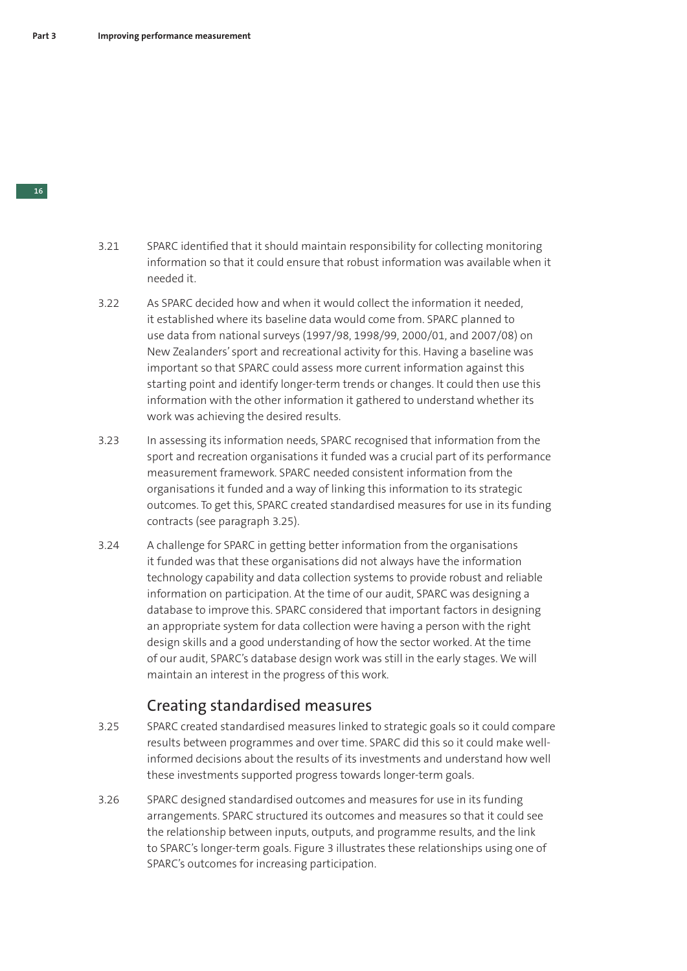- 3.21 SPARC identified that it should maintain responsibility for collecting monitoring information so that it could ensure that robust information was available when it needed it.
- 3.22 As SPARC decided how and when it would collect the information it needed, it established where its baseline data would come from. SPARC planned to use data from national surveys (1997/98, 1998/99, 2000/01, and 2007/08) on New Zealanders' sport and recreational activity for this. Having a baseline was important so that SPARC could assess more current information against this starting point and identify longer-term trends or changes. It could then use this information with the other information it gathered to understand whether its work was achieving the desired results.
- 3.23 In assessing its information needs, SPARC recognised that information from the sport and recreation organisations it funded was a crucial part of its performance measurement framework. SPARC needed consistent information from the organisations it funded and a way of linking this information to its strategic outcomes. To get this, SPARC created standardised measures for use in its funding contracts (see paragraph 3.25).
- 3.24 A challenge for SPARC in getting better information from the organisations it funded was that these organisations did not always have the information technology capability and data collection systems to provide robust and reliable information on participation. At the time of our audit, SPARC was designing a database to improve this. SPARC considered that important factors in designing an appropriate system for data collection were having a person with the right design skills and a good understanding of how the sector worked. At the time of our audit, SPARC's database design work was still in the early stages. We will maintain an interest in the progress of this work.

## Creating standardised measures

- 3. 25 SPARC created standardised measures linked to strategic goals so it could compare results between programmes and over time. SPARC did this so it could make wellinformed decisions about the results of its investments and understand how well these investments supported progress towards longer-term goals.
- 3. 26 SPARC designed standardised outcomes and measures for use in its funding arrangements. SPARC structured its outcomes and measures so that it could see the relationship between inputs, outputs, and programme results, and the link to SPARC's longer-term goals. Figure 3 illustrates these relationships using one of SPARC's outcomes for increasing participation.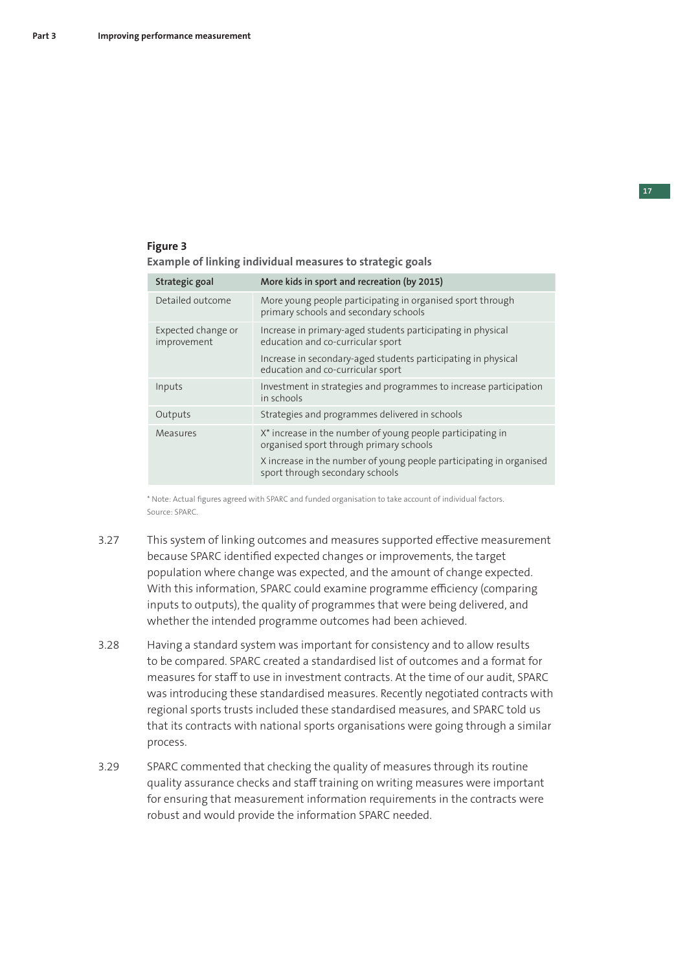#### **Figure 3 Example of linking individual measures to strategic goals**

| Strategic goal                    | More kids in sport and recreation (by 2015)                                                            |
|-----------------------------------|--------------------------------------------------------------------------------------------------------|
| Detailed outcome                  | More young people participating in organised sport through<br>primary schools and secondary schools    |
| Expected change or<br>improvement | Increase in primary-aged students participating in physical<br>education and co-curricular sport       |
|                                   | Increase in secondary-aged students participating in physical<br>education and co-curricular sport     |
| Inputs                            | Investment in strategies and programmes to increase participation<br>in schools                        |
| Outputs                           | Strategies and programmes delivered in schools                                                         |
| Measures                          | X* increase in the number of young people participating in<br>organised sport through primary schools  |
|                                   | X increase in the number of young people participating in organised<br>sport through secondary schools |

\* Note: Actual figures agreed with SPARC and funded organisation to take account of individual factors. Source: SPARC.

- 3.27 This system of linking outcomes and measures supported effective measurement because SPARC identified expected changes or improvements, the target population where change was expected, and the amount of change expected. With this information, SPARC could examine programme efficiency (comparing inputs to outputs), the quality of programmes that were being delivered, and whether the intended programme outcomes had been achieved.
- 3.28 Having a standard system was important for consistency and to allow results to be compared. SPARC created a standardised list of outcomes and a format for measures for staff to use in investment contracts. At the time of our audit, SPARC was introducing these standardised measures. Recently negotiated contracts with regional sports trusts included these standardised measures, and SPARC told us that its contracts with national sports organisations were going through a similar process.
- 3.29 SPARC commented that checking the quality of measures through its routine quality assurance checks and staff training on writing measures were important for ensuring that measurement information requirements in the contracts were robust and would provide the information SPARC needed.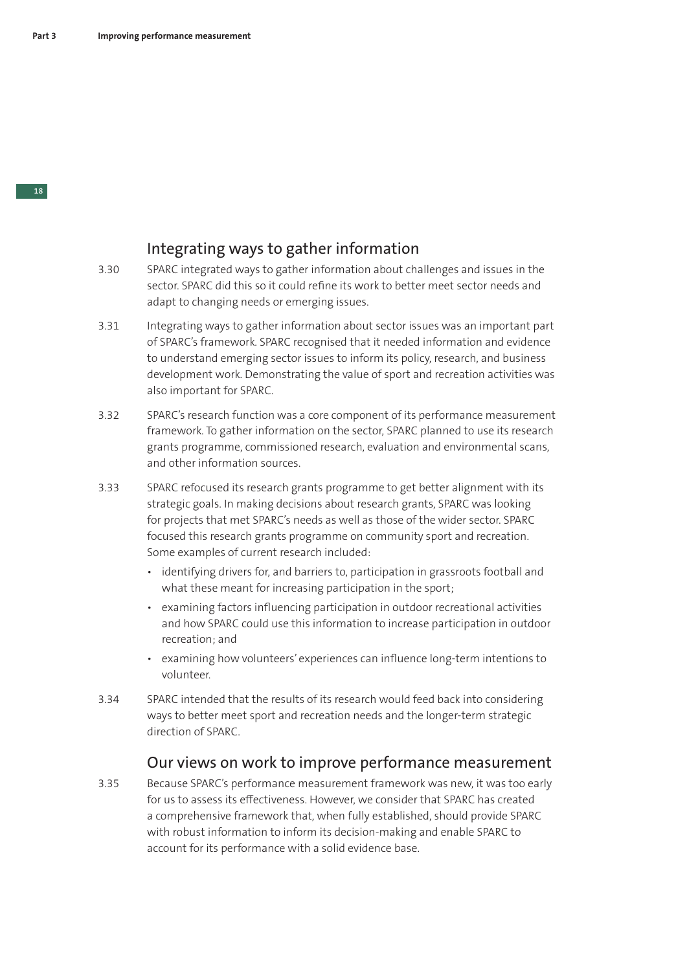### Integrating ways to gather information

- 3.30 SPARC integrated ways to gather information about challenges and issues in the sector. SPARC did this so it could refine its work to better meet sector needs and adapt to changing needs or emerging issues.
- 3.31 Integrating ways to gather information about sector issues was an important part of SPARC's framework. SPARC recognised that it needed information and evidence to understand emerging sector issues to inform its policy, research, and business development work. Demonstrating the value of sport and recreation activities was also important for SPARC.
- 3.32 SPARC's research function was a core component of its performance measurement framework. To gather information on the sector, SPARC planned to use its research grants programme, commissioned research, evaluation and environmental scans, and other information sources.
- 3.33 SPARC refocused its research grants programme to get better alignment with its strategic goals. In making decisions about research grants, SPARC was looking for projects that met SPARC's needs as well as those of the wider sector. SPARC focused this research grants programme on community sport and recreation. Some examples of current research included:
	- identifying drivers for, and barriers to, participation in grassroots football and what these meant for increasing participation in the sport:
	- examining factors influencing participation in outdoor recreational activities and how SPARC could use this information to increase participation in outdoor recreation; and
	- examining how volunteers' experiences can influence long-term intentions to volunteer.
- 3.34 SPARC intended that the results of its research would feed back into considering ways to better meet sport and recreation needs and the longer-term strategic direction of SPARC.

### Our views on work to improve performance measurement

3.35 Because SPARC's performance measurement framework was new, it was too early for us to assess its effectiveness. However, we consider that SPARC has created a comprehensive framework that, when fully established, should provide SPARC with robust information to inform its decision-making and enable SPARC to account for its performance with a solid evidence base.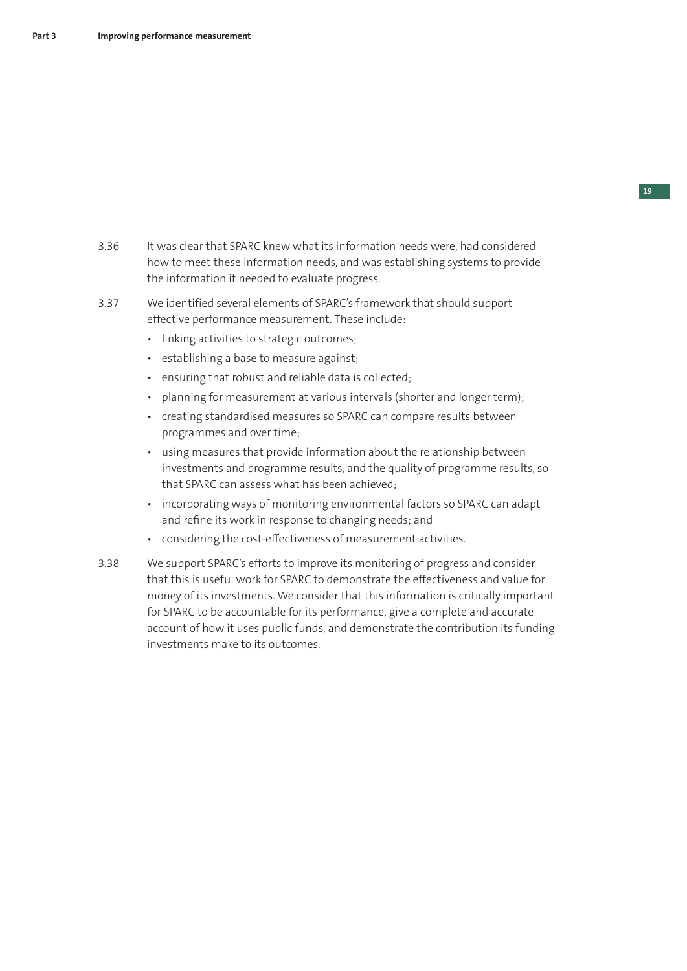- 3.36 It was clear that SPARC knew what its information needs were, had considered how to meet these information needs, and was establishing systems to provide the information it needed to evaluate progress.
- 3.37 We identified several elements of SPARC's framework that should support effective performance measurement. These include:
	- linking activities to strategic outcomes;
	- establishing a base to measure against;
	- ensuring that robust and reliable data is collected;
	- planning for measurement at various intervals (shorter and longer term);
	- creating standardised measures so SPARC can compare results between programmes and over time;
	- using measures that provide information about the relationship between investments and programme results, and the quality of programme results, so that SPARC can assess what has been achieved;
	- incorporating ways of monitoring environmental factors so SPARC can adapt and refine its work in response to changing needs; and
	- considering the cost-effectiveness of measurement activities.
- 3.38 We support SPARC's efforts to improve its monitoring of progress and consider that this is useful work for SPARC to demonstrate the effectiveness and value for money of its investments. We consider that this information is critically important for SPARC to be accountable for its performance, give a complete and accurate account of how it uses public funds, and demonstrate the contribution its funding investments make to its outcomes.